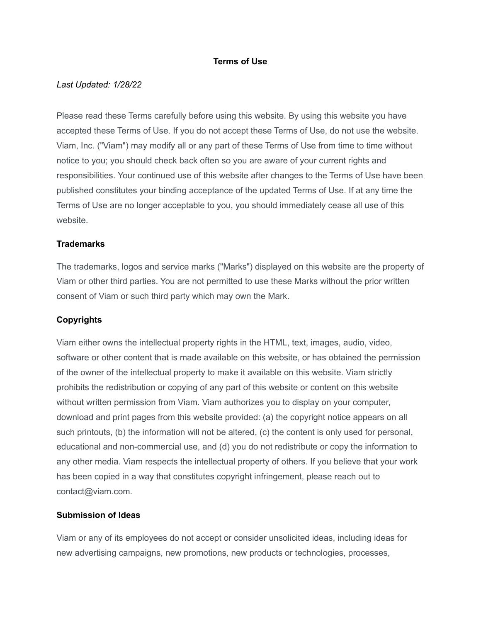### **Terms of Use**

#### *Last Updated: 1/28/22*

Please read these Terms carefully before using this website. By using this website you have accepted these Terms of Use. If you do not accept these Terms of Use, do not use the website. Viam, Inc. ("Viam") may modify all or any part of these Terms of Use from time to time without notice to you; you should check back often so you are aware of your current rights and responsibilities. Your continued use of this website after changes to the Terms of Use have been published constitutes your binding acceptance of the updated Terms of Use. If at any time the Terms of Use are no longer acceptable to you, you should immediately cease all use of this website.

#### **Trademarks**

The trademarks, logos and service marks ("Marks") displayed on this website are the property of Viam or other third parties. You are not permitted to use these Marks without the prior written consent of Viam or such third party which may own the Mark.

### **Copyrights**

Viam either owns the intellectual property rights in the HTML, text, images, audio, video, software or other content that is made available on this website, or has obtained the permission of the owner of the intellectual property to make it available on this website. Viam strictly prohibits the redistribution or copying of any part of this website or content on this website without written permission from Viam. Viam authorizes you to display on your computer, download and print pages from this website provided: (a) the copyright notice appears on all such printouts, (b) the information will not be altered, (c) the content is only used for personal, educational and non-commercial use, and (d) you do not redistribute or copy the information to any other media. Viam respects the intellectual property of others. If you believe that your work has been copied in a way that constitutes copyright infringement, please reach out to contact@viam.com.

### **Submission of Ideas**

Viam or any of its employees do not accept or consider unsolicited ideas, including ideas for new advertising campaigns, new promotions, new products or technologies, processes,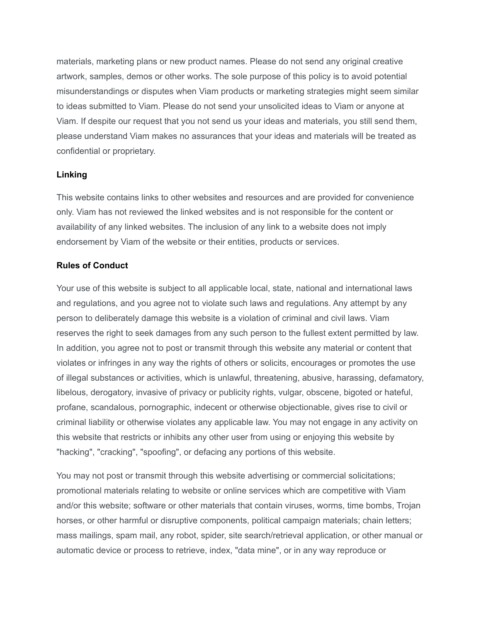materials, marketing plans or new product names. Please do not send any original creative artwork, samples, demos or other works. The sole purpose of this policy is to avoid potential misunderstandings or disputes when Viam products or marketing strategies might seem similar to ideas submitted to Viam. Please do not send your unsolicited ideas to Viam or anyone at Viam. If despite our request that you not send us your ideas and materials, you still send them, please understand Viam makes no assurances that your ideas and materials will be treated as confidential or proprietary.

### **Linking**

This website contains links to other websites and resources and are provided for convenience only. Viam has not reviewed the linked websites and is not responsible for the content or availability of any linked websites. The inclusion of any link to a website does not imply endorsement by Viam of the website or their entities, products or services.

### **Rules of Conduct**

Your use of this website is subject to all applicable local, state, national and international laws and regulations, and you agree not to violate such laws and regulations. Any attempt by any person to deliberately damage this website is a violation of criminal and civil laws. Viam reserves the right to seek damages from any such person to the fullest extent permitted by law. In addition, you agree not to post or transmit through this website any material or content that violates or infringes in any way the rights of others or solicits, encourages or promotes the use of illegal substances or activities, which is unlawful, threatening, abusive, harassing, defamatory, libelous, derogatory, invasive of privacy or publicity rights, vulgar, obscene, bigoted or hateful, profane, scandalous, pornographic, indecent or otherwise objectionable, gives rise to civil or criminal liability or otherwise violates any applicable law. You may not engage in any activity on this website that restricts or inhibits any other user from using or enjoying this website by "hacking", "cracking", "spoofing", or defacing any portions of this website.

You may not post or transmit through this website advertising or commercial solicitations; promotional materials relating to website or online services which are competitive with Viam and/or this website; software or other materials that contain viruses, worms, time bombs, Trojan horses, or other harmful or disruptive components, political campaign materials; chain letters; mass mailings, spam mail, any robot, spider, site search/retrieval application, or other manual or automatic device or process to retrieve, index, "data mine", or in any way reproduce or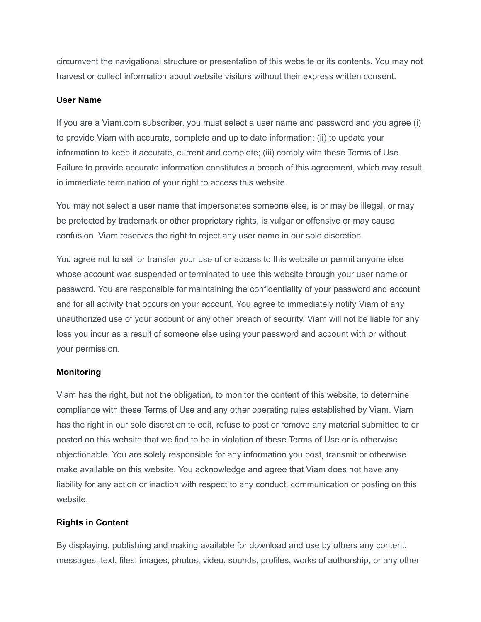circumvent the navigational structure or presentation of this website or its contents. You may not harvest or collect information about website visitors without their express written consent.

### **User Name**

If you are a Viam.com subscriber, you must select a user name and password and you agree (i) to provide Viam with accurate, complete and up to date information; (ii) to update your information to keep it accurate, current and complete; (iii) comply with these Terms of Use. Failure to provide accurate information constitutes a breach of this agreement, which may result in immediate termination of your right to access this website.

You may not select a user name that impersonates someone else, is or may be illegal, or may be protected by trademark or other proprietary rights, is vulgar or offensive or may cause confusion. Viam reserves the right to reject any user name in our sole discretion.

You agree not to sell or transfer your use of or access to this website or permit anyone else whose account was suspended or terminated to use this website through your user name or password. You are responsible for maintaining the confidentiality of your password and account and for all activity that occurs on your account. You agree to immediately notify Viam of any unauthorized use of your account or any other breach of security. Viam will not be liable for any loss you incur as a result of someone else using your password and account with or without your permission.

## **Monitoring**

Viam has the right, but not the obligation, to monitor the content of this website, to determine compliance with these Terms of Use and any other operating rules established by Viam. Viam has the right in our sole discretion to edit, refuse to post or remove any material submitted to or posted on this website that we find to be in violation of these Terms of Use or is otherwise objectionable. You are solely responsible for any information you post, transmit or otherwise make available on this website. You acknowledge and agree that Viam does not have any liability for any action or inaction with respect to any conduct, communication or posting on this website.

## **Rights in Content**

By displaying, publishing and making available for download and use by others any content, messages, text, files, images, photos, video, sounds, profiles, works of authorship, or any other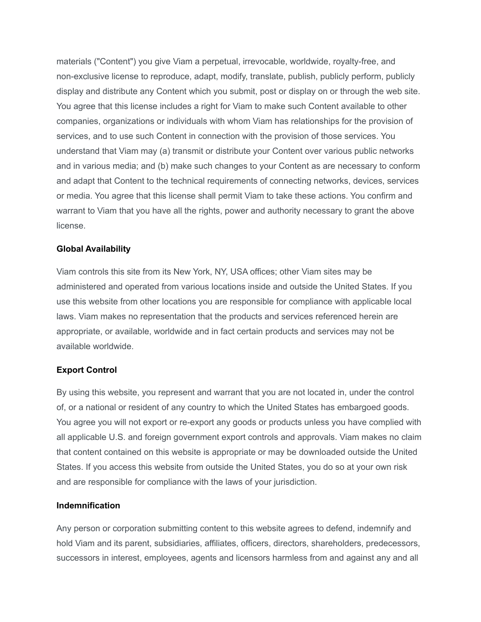materials ("Content") you give Viam a perpetual, irrevocable, worldwide, royalty-free, and non-exclusive license to reproduce, adapt, modify, translate, publish, publicly perform, publicly display and distribute any Content which you submit, post or display on or through the web site. You agree that this license includes a right for Viam to make such Content available to other companies, organizations or individuals with whom Viam has relationships for the provision of services, and to use such Content in connection with the provision of those services. You understand that Viam may (a) transmit or distribute your Content over various public networks and in various media; and (b) make such changes to your Content as are necessary to conform and adapt that Content to the technical requirements of connecting networks, devices, services or media. You agree that this license shall permit Viam to take these actions. You confirm and warrant to Viam that you have all the rights, power and authority necessary to grant the above license.

### **Global Availability**

Viam controls this site from its New York, NY, USA offices; other Viam sites may be administered and operated from various locations inside and outside the United States. If you use this website from other locations you are responsible for compliance with applicable local laws. Viam makes no representation that the products and services referenced herein are appropriate, or available, worldwide and in fact certain products and services may not be available worldwide.

## **Export Control**

By using this website, you represent and warrant that you are not located in, under the control of, or a national or resident of any country to which the United States has embargoed goods. You agree you will not export or re-export any goods or products unless you have complied with all applicable U.S. and foreign government export controls and approvals. Viam makes no claim that content contained on this website is appropriate or may be downloaded outside the United States. If you access this website from outside the United States, you do so at your own risk and are responsible for compliance with the laws of your jurisdiction.

### **Indemnification**

Any person or corporation submitting content to this website agrees to defend, indemnify and hold Viam and its parent, subsidiaries, affiliates, officers, directors, shareholders, predecessors, successors in interest, employees, agents and licensors harmless from and against any and all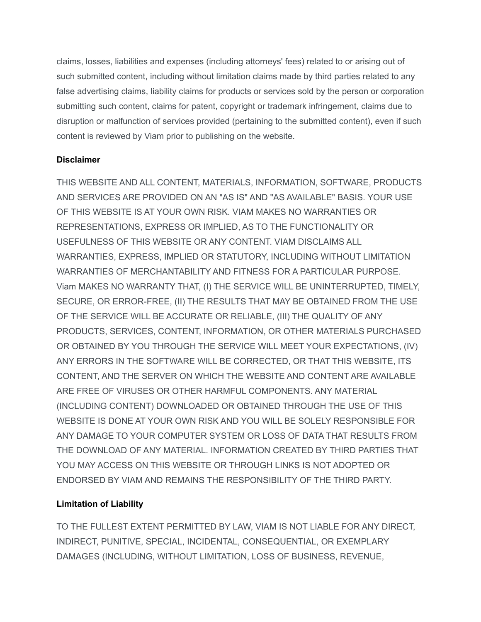claims, losses, liabilities and expenses (including attorneys' fees) related to or arising out of such submitted content, including without limitation claims made by third parties related to any false advertising claims, liability claims for products or services sold by the person or corporation submitting such content, claims for patent, copyright or trademark infringement, claims due to disruption or malfunction of services provided (pertaining to the submitted content), even if such content is reviewed by Viam prior to publishing on the website.

## **Disclaimer**

THIS WEBSITE AND ALL CONTENT, MATERIALS, INFORMATION, SOFTWARE, PRODUCTS AND SERVICES ARE PROVIDED ON AN "AS IS" AND "AS AVAILABLE" BASIS. YOUR USE OF THIS WEBSITE IS AT YOUR OWN RISK. VIAM MAKES NO WARRANTIES OR REPRESENTATIONS, EXPRESS OR IMPLIED, AS TO THE FUNCTIONALITY OR USEFULNESS OF THIS WEBSITE OR ANY CONTENT. VIAM DISCLAIMS ALL WARRANTIES, EXPRESS, IMPLIED OR STATUTORY, INCLUDING WITHOUT LIMITATION WARRANTIES OF MERCHANTABILITY AND FITNESS FOR A PARTICULAR PURPOSE. Viam MAKES NO WARRANTY THAT, (I) THE SERVICE WILL BE UNINTERRUPTED, TIMELY, SECURE, OR ERROR-FREE, (II) THE RESULTS THAT MAY BE OBTAINED FROM THE USE OF THE SERVICE WILL BE ACCURATE OR RELIABLE, (III) THE QUALITY OF ANY PRODUCTS, SERVICES, CONTENT, INFORMATION, OR OTHER MATERIALS PURCHASED OR OBTAINED BY YOU THROUGH THE SERVICE WILL MEET YOUR EXPECTATIONS, (IV) ANY ERRORS IN THE SOFTWARE WILL BE CORRECTED, OR THAT THIS WEBSITE, ITS CONTENT, AND THE SERVER ON WHICH THE WEBSITE AND CONTENT ARE AVAILABLE ARE FREE OF VIRUSES OR OTHER HARMFUL COMPONENTS. ANY MATERIAL (INCLUDING CONTENT) DOWNLOADED OR OBTAINED THROUGH THE USE OF THIS WEBSITE IS DONE AT YOUR OWN RISK AND YOU WILL BE SOLELY RESPONSIBLE FOR ANY DAMAGE TO YOUR COMPUTER SYSTEM OR LOSS OF DATA THAT RESULTS FROM THE DOWNLOAD OF ANY MATERIAL. INFORMATION CREATED BY THIRD PARTIES THAT YOU MAY ACCESS ON THIS WEBSITE OR THROUGH LINKS IS NOT ADOPTED OR ENDORSED BY VIAM AND REMAINS THE RESPONSIBILITY OF THE THIRD PARTY.

# **Limitation of Liability**

TO THE FULLEST EXTENT PERMITTED BY LAW, VIAM IS NOT LIABLE FOR ANY DIRECT, INDIRECT, PUNITIVE, SPECIAL, INCIDENTAL, CONSEQUENTIAL, OR EXEMPLARY DAMAGES (INCLUDING, WITHOUT LIMITATION, LOSS OF BUSINESS, REVENUE,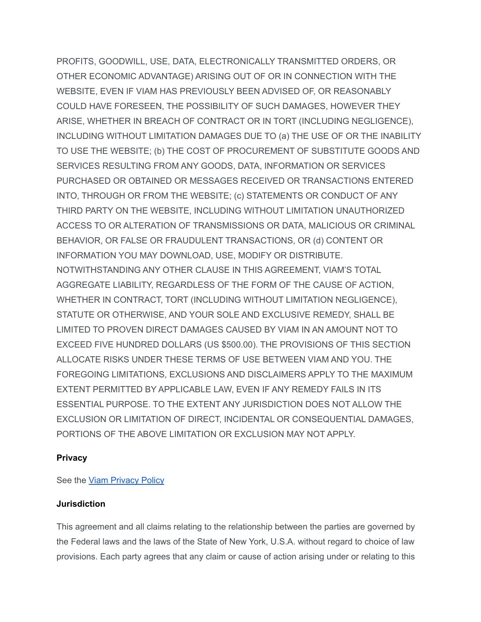PROFITS, GOODWILL, USE, DATA, ELECTRONICALLY TRANSMITTED ORDERS, OR OTHER ECONOMIC ADVANTAGE) ARISING OUT OF OR IN CONNECTION WITH THE WEBSITE, EVEN IF VIAM HAS PREVIOUSLY BEEN ADVISED OF, OR REASONABLY COULD HAVE FORESEEN, THE POSSIBILITY OF SUCH DAMAGES, HOWEVER THEY ARISE, WHETHER IN BREACH OF CONTRACT OR IN TORT (INCLUDING NEGLIGENCE), INCLUDING WITHOUT LIMITATION DAMAGES DUE TO (a) THE USE OF OR THE INABILITY TO USE THE WEBSITE; (b) THE COST OF PROCUREMENT OF SUBSTITUTE GOODS AND SERVICES RESULTING FROM ANY GOODS, DATA, INFORMATION OR SERVICES PURCHASED OR OBTAINED OR MESSAGES RECEIVED OR TRANSACTIONS ENTERED INTO, THROUGH OR FROM THE WEBSITE; (c) STATEMENTS OR CONDUCT OF ANY THIRD PARTY ON THE WEBSITE, INCLUDING WITHOUT LIMITATION UNAUTHORIZED ACCESS TO OR ALTERATION OF TRANSMISSIONS OR DATA, MALICIOUS OR CRIMINAL BEHAVIOR, OR FALSE OR FRAUDULENT TRANSACTIONS, OR (d) CONTENT OR INFORMATION YOU MAY DOWNLOAD, USE, MODIFY OR DISTRIBUTE. NOTWITHSTANDING ANY OTHER CLAUSE IN THIS AGREEMENT, VIAM'S TOTAL AGGREGATE LIABILITY, REGARDLESS OF THE FORM OF THE CAUSE OF ACTION, WHETHER IN CONTRACT, TORT (INCLUDING WITHOUT LIMITATION NEGLIGENCE), STATUTE OR OTHERWISE, AND YOUR SOLE AND EXCLUSIVE REMEDY, SHALL BE LIMITED TO PROVEN DIRECT DAMAGES CAUSED BY VIAM IN AN AMOUNT NOT TO EXCEED FIVE HUNDRED DOLLARS (US \$500.00). THE PROVISIONS OF THIS SECTION ALLOCATE RISKS UNDER THESE TERMS OF USE BETWEEN VIAM AND YOU. THE FOREGOING LIMITATIONS, EXCLUSIONS AND DISCLAIMERS APPLY TO THE MAXIMUM EXTENT PERMITTED BY APPLICABLE LAW, EVEN IF ANY REMEDY FAILS IN ITS ESSENTIAL PURPOSE. TO THE EXTENT ANY JURISDICTION DOES NOT ALLOW THE EXCLUSION OR LIMITATION OF DIRECT, INCIDENTAL OR CONSEQUENTIAL DAMAGES, PORTIONS OF THE ABOVE LIMITATION OR EXCLUSION MAY NOT APPLY.

### **Privacy**

See the **Viam [Privacy](http://www.viam.com/privacy) Policy** 

### **Jurisdiction**

This agreement and all claims relating to the relationship between the parties are governed by the Federal laws and the laws of the State of New York, U.S.A. without regard to choice of law provisions. Each party agrees that any claim or cause of action arising under or relating to this